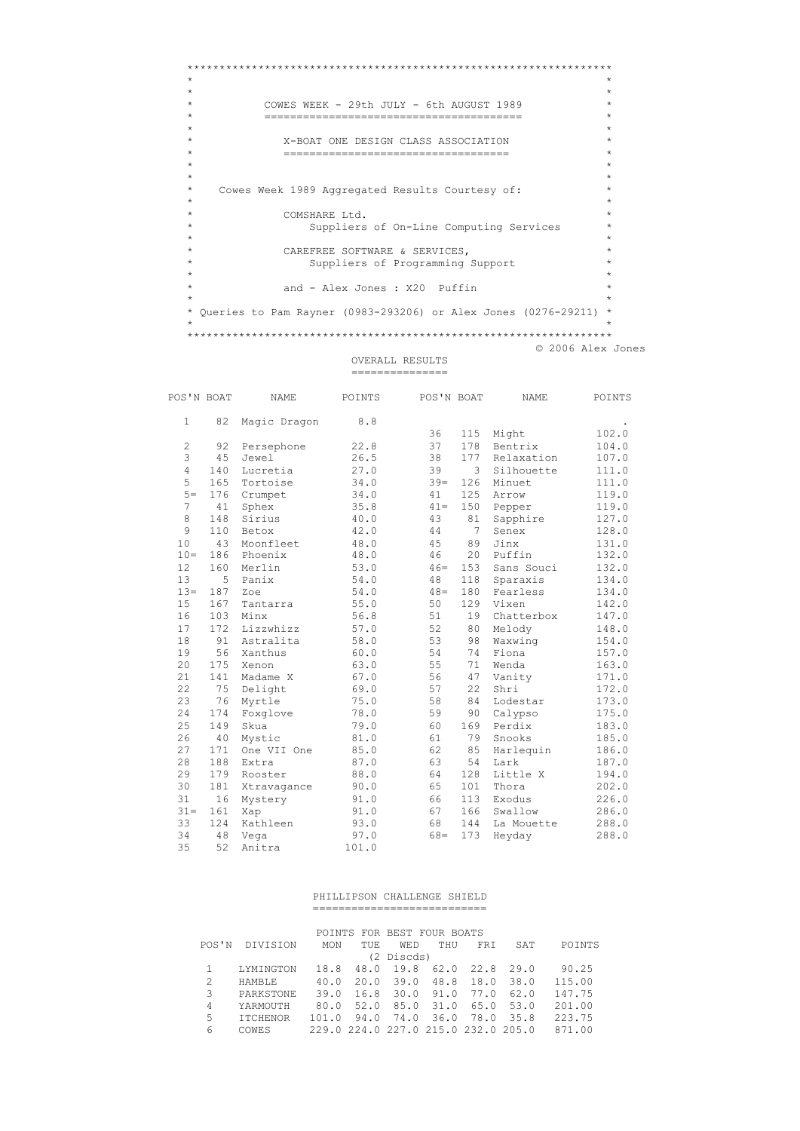```
_{\star}\rightarrow\starCOWES WEEK - 29th JULY - 6th AUGUST 1989
                                                      \rightarrow\star\star--------------------------------
                                        -----
_{\star}\star\starX-BOAT ONE DESIGN CLASS ASSOCIATION
\star\star_{\star}Cowes Week 1989 Aggregated Results Courtesy of:
\starCOMSHARE Ltd.
\starSuppliers of On-Line Computing Services
           CAREFREE SOFTWARE & SERVICES,
               Suppliers of Programming Support
                                                      \rightarrowand - Alex Jones : X20 Puffin
* Queries to Pam Rayner (0983-293206) or Alex Jones (0276-29211) *
© 2006 Alex Jones
```
OVERALL RESULTS 

| POS'N BOAT     |     | <b>NAME</b>  | POINTS | POS'N BOAT |     | NAME       | POINTS |
|----------------|-----|--------------|--------|------------|-----|------------|--------|
| $\mathbf{1}$   | 82  | Magic Dragon | 8.8    |            |     |            |        |
|                |     |              |        | 36         | 115 | Might      | 102.0  |
| 2              | 92  | Persephone   | 22.8   | 37         | 178 | Bentrix    | 104.0  |
| 3              | 45  | Jewel        | 26.5   | 38         | 177 | Relaxation | 107.0  |
| $\overline{4}$ | 140 | Lucretia     | 27.0   | 39         | 3   | Silhouette | 111.0  |
| 5              | 165 | Tortoise     | 34.0   | $39 =$     | 126 | Minuet     | 111.0  |
| $5 =$          | 176 | Crumpet      | 34.0   | 41         | 125 | Arrow      | 119.0  |
| 7              | 41  | Sphex        | 35.8   | $41 =$     | 150 | Pepper     | 119.0  |
| 8              | 148 | Sirius       | 40.0   | 43         | 81  | Sapphire   | 127.0  |
| 9              | 110 | Betox        | 42.0   | 44         | 7   | Senex      | 128.0  |
| 10             | 43  | Moonfleet    | 48.0   | 45         | 89  | Jinx       | 131.0  |
| $10 =$         | 186 | Phoenix      | 48.0   | 46         | 20  | Puffin     | 132.0  |
| 12             | 160 | Merlin       | 53.0   | $46=$      | 153 | Sans Souci | 132.0  |
| 13             | 5   | Panix        | 54.0   | 48         | 118 | Sparaxis   | 134.0  |
| $13 -$         | 187 | Zoe          | 54.0   | $48 =$     | 180 | Fearless   | 134.0  |
| 15             | 167 | Tantarra     | 55.0   | 50         | 129 | Vixen      | 142.0  |
| 16             | 103 | Minx         | 56.8   | 51         | 19  | Chatterbox | 147.0  |
| 17             | 172 | Lizzwhizz    | 57.0   | 52         | 80  | Melody     | 148.0  |
| 18             | 91  | Astralita    | 58.0   | 53         | 98  | Waxwing    | 154.0  |
| 19             | 56  | Xanthus      | 60.0   | 54         | 74  | Fiona      | 157.0  |
| 20             | 175 | Xenon        | 63.0   | 55         | 71  | Wenda      | 163.0  |
| 21             | 141 | Madame X     | 67.0   | 56         | 47  | Vanity     | 171.0  |
| 22             | 75  | Delight      | 69.0   | 57         | 22  | Shri       | 172.0  |
| 23             | 76  | Myrtle       | 75.0   | 58         | 84  | Lodestar   | 173.0  |
| 24             | 174 | Foxglove     | 78.0   | 59         | 90  | Calypso    | 175.0  |
| 25             | 149 | Skua         | 79.0   | 60         | 169 | Perdix     | 183.0  |
| 26             | 40  | Mystic       | 81.0   | 61         | 79  | Snooks     | 185.0  |
| 27             | 171 | One VII One  | 85.0   | 62         | 85  | Harlequin  | 186.0  |
| 28             | 188 | Extra        | 87.0   | 63         | 54  | Lark       | 187.0  |
| 29             | 179 | Rooster      | 88.0   | 64         | 128 | Little X   | 194.0  |
| 30             | 181 | Xtravagance  | 90.0   | 65         | 101 | Thora      | 202.0  |
| 31             | 16  | Mystery      | 91.0   | 66         | 113 | Exodus     | 226.0  |
| $31 =$         | 161 | Xap          | 91.0   | 67         | 166 | Swallow    | 286.0  |
| 33             | 124 | Kathleen     | 93.0   | 68         | 144 | La Mouette | 288.0  |
| 34             | 48  | Vega         | 97.0   | $68 =$     | 173 | Heyday     | 288.0  |
| 35             | 52  | Anitra       | 101.0  |            |     |            |        |

## PHILLIPSON CHALLENGE SHIELD =============================

POINTS FOR BEST FOUR BOATS POS'N DIVISION MON TUE WED THU FRI SAT POINTS

|                |               |                                     | (2 Discds) |  |        |
|----------------|---------------|-------------------------------------|------------|--|--------|
| -1.            | LYMINGTON     | 18.8 48.0 19.8 62.0 22.8 29.0       |            |  | 90.25  |
|                | <b>HAMBLE</b> | 40.0 20.0 39.0 48.8 18.0 38.0       |            |  | 115.00 |
| -3             | PARKSTONE     | 39.0 16.8 30.0 91.0 77.0 62.0       |            |  | 147.75 |
| $\overline{4}$ | YARMOUTH      | 80.0 52.0 85.0 31.0 65.0 53.0       |            |  | 201.00 |
| -5             | TTCHENOR      | 101.0 94.0 74.0 36.0 78.0 35.8      |            |  | 223.75 |
| 6              | COWES         | 229.0 224.0 227.0 215.0 232.0 205.0 |            |  | 871.00 |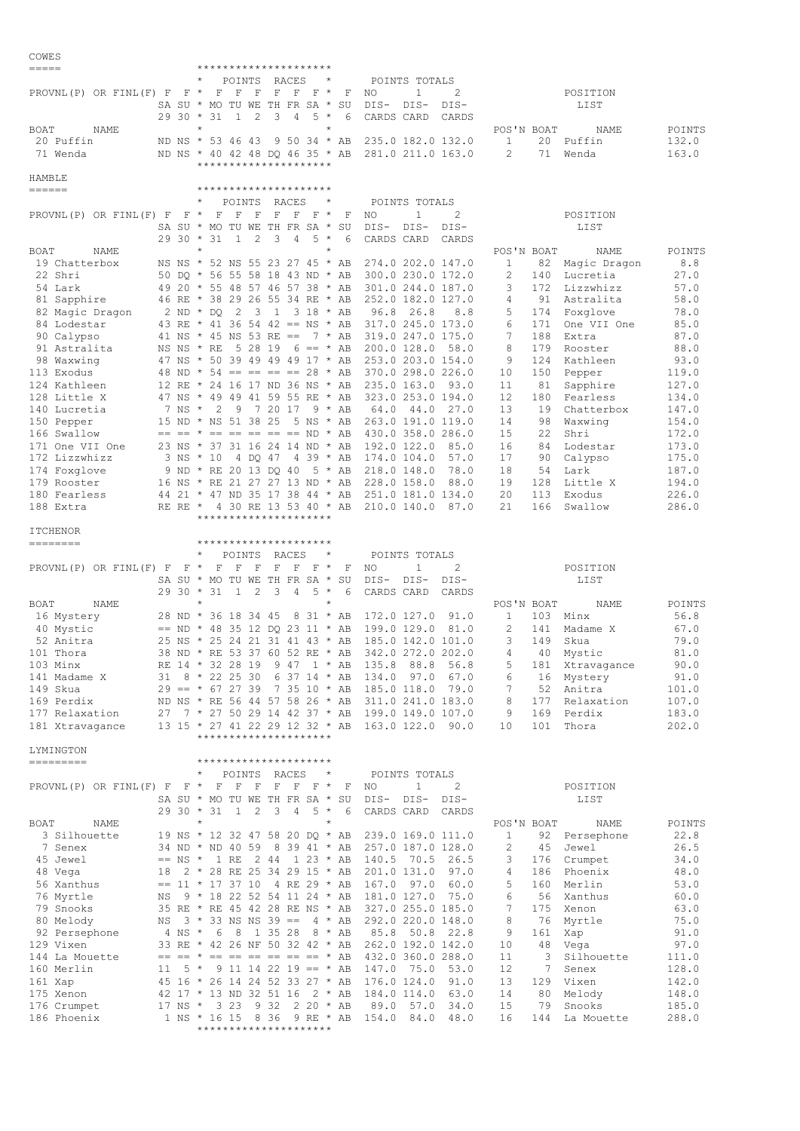| COWES                                               |             |                                                                                                    |          |                                               |                                   |                                               |     |
|-----------------------------------------------------|-------------|----------------------------------------------------------------------------------------------------|----------|-----------------------------------------------|-----------------------------------|-----------------------------------------------|-----|
| $=$ $=$ $=$ $=$                                     |             | *********************                                                                              |          |                                               |                                   |                                               |     |
| PROVNL(P) OR FINL(F) F F $\star$                    |             | $^\star$<br>POINTS<br>RACES<br>F<br>$\mathbb{F}$<br>$\mathbb{F}$<br>$F$ $F$ $F$ $*$                | F        | POINTS TOTALS<br>2<br>NO<br>1                 |                                   | POSITION                                      |     |
|                                                     |             | SA SU * MO TU WE TH FR SA *                                                                        | SU       | DIS-<br>DIS-<br>DIS-                          |                                   | LIST                                          |     |
|                                                     | $2930 *$    | 2<br>3<br>4<br>$5 *$<br>31<br>- 1                                                                  | 6        | CARDS CARD<br>CARDS                           |                                   |                                               |     |
| BOAT<br>NAME                                        |             | $\star$                                                                                            |          |                                               | POS'N BOAT                        | POINTS<br>NAME                                |     |
| 20 Puffin                                           |             | ND NS * 53 46 43<br>$9\ 50\ 34 * AB$                                                               |          | 235.0 182.0 132.0                             | 1<br>2<br>71                      | 132.0<br>20 Puffin                            |     |
| 71 Wenda                                            |             | ND NS * 40 42 48 DQ 46 35 * AB<br>*********************                                            |          | 281.0 211.0 163.0                             |                                   | 163.0<br>Wenda                                |     |
| HAMBLE                                              |             |                                                                                                    |          |                                               |                                   |                                               |     |
| $\qquad \qquad \displaystyle =\qquad \qquad \qquad$ |             | *********************                                                                              |          |                                               |                                   |                                               |     |
|                                                     |             | POINTS<br>RACES                                                                                    |          | POINTS TOTALS                                 |                                   |                                               |     |
| PROVNL (P) OR FINL (F) F                            | $F \star$   | $F - F$<br>F<br>$F$ F<br>$F \star$<br>SA SU * MO TU WE TH FR SA *                                  | F<br>SU  | 2<br>NO<br>1<br>DIS-<br>DIS-<br>DIS-          |                                   | POSITION<br>LIST                              |     |
|                                                     | $2930 * 31$ | $5 *$<br>$\mathbf{1}$<br>2<br>3<br>4                                                               | 6        | CARDS CARD<br>CARDS                           |                                   |                                               |     |
| BOAT<br>NAME                                        |             | $^{\star}$<br>$\star$                                                                              |          |                                               | POS'N BOAT                        | NAME<br>POINTS                                |     |
| 19 Chatterbox                                       |             | NS NS * 52 NS 55 23 27 45 * AB                                                                     |          | 274.0 202.0 147.0                             | 1<br>82                           | Magic Dragon                                  | 8.8 |
| 22 Shri                                             |             | 50 DQ * 56 55 58 18 43 ND * AB                                                                     |          | 300.0 230.0 172.0                             | $\mathbf{2}$<br>140               | 27.0<br>Lucretia                              |     |
| 54 Lark<br>81 Sapphire                              |             | 49 20 * 55 48 57 46 57 38 * AB<br>46 RE * 38 29 26 55 34 RE * AB                                   |          | 301.0 244.0 187.0<br>252.0 182.0 127.0        | 3<br>172<br>4<br>91               | Lizzwhizz<br>57.0<br>58.0<br>Astralita        |     |
| 82 Magic Dragon                                     |             | 2<br>$\overline{\phantom{a}}$<br>$1 \t3 \t18 \t\t MAB$<br>$2 \text{ ND } \star \text{ DO}$         |          | 26.8<br>96.8<br>8.8                           | 5<br>174                          | 78.0<br>Foxglove                              |     |
| 84 Lodestar                                         |             | 43 RE * 41 36 54 42 == NS * AB                                                                     |          | 317.0 245.0 173.0                             | 6<br>171                          | 85.0<br>One VII One                           |     |
| 90 Calypso                                          |             | 41 NS * 45 NS 53 RE ==                                                                             | $7 * AB$ | 319.0 247.0 175.0                             | 7<br>188                          | 87.0<br>Extra                                 |     |
| 91 Astralita                                        |             | 5 28 19<br>$6 == * AB$<br>NS NS * RE                                                               |          | 200.0 128.0 58.0                              | 8<br>179                          | 88.0<br>Rooster                               |     |
| 98 Waxwing<br>113 Exodus                            |             | 47 NS * 50 39 49 49 49 17 * AB<br>48 ND $\star$ 54 == == == == 28 $\star$ AB                       |          | 253.0 203.0 154.0<br>370.0 298.0 226.0        | 9<br>124<br>10<br>150             | Kathleen<br>93.0<br>Pepper<br>119.0           |     |
| 124 Kathleen                                        |             | 12 RE * 24 16 17 ND 36 NS * AB                                                                     |          | 235.0 163.0 93.0                              | 11<br>81                          | 127.0<br>Sapphire                             |     |
| 128 Little X                                        |             | 47 NS * 49 49 41 59 55 RE * AB                                                                     |          | 323.0 253.0 194.0                             | 12<br>180                         | 134.0<br>Fearless                             |     |
| 140 Lucretia                                        | 7 NS *      | 7 20 17<br>2<br>- 9                                                                                | 9 * AB   | 44.0 27.0<br>64.0                             | 13<br>19                          | 147.0<br>Chatterbox                           |     |
| 150 Pepper                                          |             | 15 ND * NS 51 38 25<br>5 NS * AB                                                                   |          | 263.0 191.0 119.0                             | 14<br>98                          | 154.0<br>Waxwing                              |     |
| 166 Swallow<br>171 One VII One                      |             | $== == * == == == == == ND * AB$<br>23 NS * 37 31 16 24 14 ND * AB                                 |          | 430.0 358.0 286.0<br>192.0 122.0<br>85.0      | 15<br>22<br>16<br>84              | Shri<br>172.0<br>173.0<br>Lodestar            |     |
| 172 Lizzwhizz                                       |             | 4 DQ 47<br>4 39 * AB<br>3 NS * 10                                                                  |          | 174.0 104.0<br>57.0                           | 17<br>90                          | 175.0<br>Calypso                              |     |
| 174 Foxglove                                        |             | 9 ND * RE 20 13 DQ 40<br>5 * AB                                                                    |          | 218.0 148.0<br>78.0                           | 18<br>54                          | Lark<br>187.0                                 |     |
| 179 Rooster                                         |             | 16 NS * RE 21 27 27 13 ND * AB                                                                     |          | 228.0 158.0<br>88.0                           | 19<br>128                         | Little X<br>194.0                             |     |
| 180 Fearless                                        |             | 44 21 * 47 ND 35 17 38 44 * AB                                                                     |          | 251.0 181.0 134.0                             | 20<br>113                         | Exodus<br>226.0                               |     |
| 188 Extra                                           |             | RE RE * 4 30 RE 13 53 40 * AB<br>*********************                                             |          | 210.0 140.0 87.0                              | 21<br>166                         | 286.0<br>Swallow                              |     |
| <b>ITCHENOR</b>                                     |             |                                                                                                    |          |                                               |                                   |                                               |     |
| ========                                            |             | *********************                                                                              |          |                                               |                                   |                                               |     |
|                                                     |             | $^\star$<br>POINTS<br>RACES<br>$\star$                                                             |          | POINTS TOTALS                                 |                                   |                                               |     |
| PROVNL (P) OR FINL (F) F                            | $F^*$       | F<br>F<br>$\mathbb F$<br>F<br>F<br>$F$ *<br>TU WE TH FR SA *<br>SA SU * MO                         | F<br>SU  | 2<br>NO<br>1<br>DIS-<br>DIS-<br>DIS-          |                                   | POSITION<br>LIST                              |     |
|                                                     | $2930 * 31$ | 2<br>3<br>$5 *$<br>$\mathbf{1}$<br>4                                                               | 6        | CARDS CARD<br>CARDS                           |                                   |                                               |     |
| <b>BOAT</b><br>NAME                                 |             | $^{\star}$<br>$\star$                                                                              |          |                                               | POS'N BOAT                        | POINTS<br>NAME                                |     |
| 16 Mystery                                          |             | 28 ND * 36 18 34 45<br>8 31 * AB                                                                   |          | 172.0 127.0<br>91.0                           | 1<br>103                          | 56.8<br>Minx                                  |     |
| 40 Mystic                                           |             | $==$ ND * 48 35 12 DQ 23 11 * AB                                                                   |          | 199.0 129.0<br>81.0                           | 2<br>141                          | 67.0<br>Madame X                              |     |
| 52 Anitra<br>101 Thora                              |             | 25 NS * 25 24 21 31 41 43 * AB<br>38 ND * RE 53 37 60 52 RE * AB 342.0 272.0 202.0                 |          | 185.0 142.0 101.0                             | 3<br>149<br>$\overline{4}$        | 79.0<br>Skua<br>40 Mystic<br>81.0             |     |
| 103 Minx                                            |             | RE 14 * 32 28 19 9 47 1 * AB 135.8 88.8                                                            |          | 56.8                                          | 5                                 | 90.0<br>181 Xtravagance                       |     |
| 141 Madame X                                        |             | 31 8 * 22 25 30 6 37 14 * AB 134.0 97.0                                                            |          | 67.0                                          | 6                                 | 91.0<br>16 Mystery                            |     |
| 149 Skua                                            |             | $29 == * 67 27 39 7 35 10 * AB 185.0 118.0$                                                        |          | 79.0                                          | $7\phantom{.0}$                   | 52 Anitra<br>101.0                            |     |
| 169 Perdix                                          |             | ND NS * RE 56 44 57 58 26 * AB 311.0 241.0 183.0                                                   |          |                                               | 8                                 | 177 Relaxation<br>107.0                       |     |
| 177 Relaxation<br>181 Xtravagance                   |             | 27 7 * 27 50 29 14 42 37 * AB 199.0 149.0 107.0<br>13 15 * 27 41 22 29 12 32 * AB 163.0 122.0 90.0 |          |                                               | 9<br>10                           | 169 Perdix<br>183.0<br>101 Thora<br>202.0     |     |
|                                                     |             | *********************                                                                              |          |                                               |                                   |                                               |     |
| LYMINGTON                                           |             |                                                                                                    |          |                                               |                                   |                                               |     |
| ---------                                           |             | *********************                                                                              |          |                                               |                                   |                                               |     |
|                                                     |             | POINTS RACES<br>$\star$<br>PROVNL(P) OR FINL(F) F F * F F F F F F F * F NO                         |          | POINTS TOTALS<br>$\mathbf{2}$<br>$\mathbf{1}$ |                                   |                                               |     |
|                                                     |             | SA SU * MO TU WE TH FR SA * SU                                                                     |          | DIS-DIS-<br>DIS-                              |                                   | POSITION<br>LIST                              |     |
|                                                     |             | 29 30 * 31 1 2 3 4 5 * 6                                                                           |          | CARDS CARD CARDS                              |                                   |                                               |     |
| BOAT<br>NAME                                        |             | $\star$<br>$\star$                                                                                 |          |                                               | POS'N BOAT                        | NAME<br>POINTS                                |     |
| 3 Silhouette                                        |             | 19 NS * 12 32 47 58 20 DQ * AB 239.0 169.0 111.0                                                   |          |                                               | $\mathbf{1}$                      | 92 Persephone<br>22.8                         |     |
| 7 Senex                                             |             | 34 ND * ND 40 59 8 39 41 * AB 257.0 187.0 128.0                                                    |          |                                               | 2<br>45                           | 26.5<br>Jewel                                 |     |
| 45 Jewel<br>48 Vega                                 |             | $==$ NS * 1 RE 2 44 1 23 * AB 140.5 70.5 26.5<br>18 2 * 28 RE 25 34 29 15 * AB 201.0 131.0         |          | 97.0                                          | 3<br>4                            | 34.0<br>176 Crumpet<br>48.0<br>186 Phoenix    |     |
| 56 Xanthus                                          |             | $== 11 * 17 37 10 4 RE 29 * AB 167.0 97.0$                                                         |          | 60.0                                          | 5                                 | 160 Merlin<br>53.0                            |     |
| 76 Myrtle<br>NS                                     |             | $9 * 18 22 52 54 11 24 * AB 181.0 127.0$                                                           |          | 75.0                                          | 6                                 | 56 Xanthus<br>60.0                            |     |
| 79 Snooks                                           |             | 35 RE * RE 45 42 28 RE NS * AB 327.0 255.0 185.0                                                   |          |                                               | 7                                 | 175 Xenon<br>63.0                             |     |
| 80 Melody                                           |             | NS $3 * 33$ NS NS $39 == 4 * AB$ 292.0 220.0 148.0                                                 |          |                                               | 8<br>76                           | 75.0<br>Myrtle                                |     |
| 92 Persephone<br>129 Vixen                          |             | 4 NS * 6 8 1 35 28 8 * AB<br>33 RE * 42 26 NF 50 32 42 * AB 262.0 192.0 142.0                      |          | 85.8 50.8 22.8                                | 9<br>161<br>10 <sub>o</sub><br>48 | 91.0<br>Xap<br>97.0<br>Vega                   |     |
| 144 La Mouette                                      |             | $== == * == == == == == == * AB 432.0 360.0 288.0$                                                 |          |                                               | $3 -$<br>11                       | 111.0<br>Silhouette                           |     |
| 160 Merlin                                          |             | 11 $5 * 9 11 14 22 19 == * AB 147.0 75.0$                                                          |          | 53.0                                          | $12 \,$<br>$\overline{7}$         | 128.0<br>Senex                                |     |
| 161 Xap                                             |             | 45 16 * 26 14 24 52 33 27 * AB 176.0 124.0                                                         |          | 91.0                                          | 13                                | 129 Vixen<br>142.0                            |     |
| 175 Xenon<br>176 Crumpet                            |             | 42 17 * 13 ND 32 51 16 2 * AB                                                                      |          |                                               | 14<br>80                          | Melody<br>148.0                               |     |
|                                                     |             |                                                                                                    |          | 184.0 114.0<br>63.0                           |                                   |                                               |     |
| 186 Phoenix                                         |             | 17 NS * 3 23 9 32 2 20 * AB<br>1 NS * 16 15 8 36 9 RE * AB 154.0 84.0                              |          | 89.0<br>57.0<br>34.0<br>48.0                  | 15<br>16                          | 79 Snooks<br>185.0<br>288.0<br>144 La Mouette |     |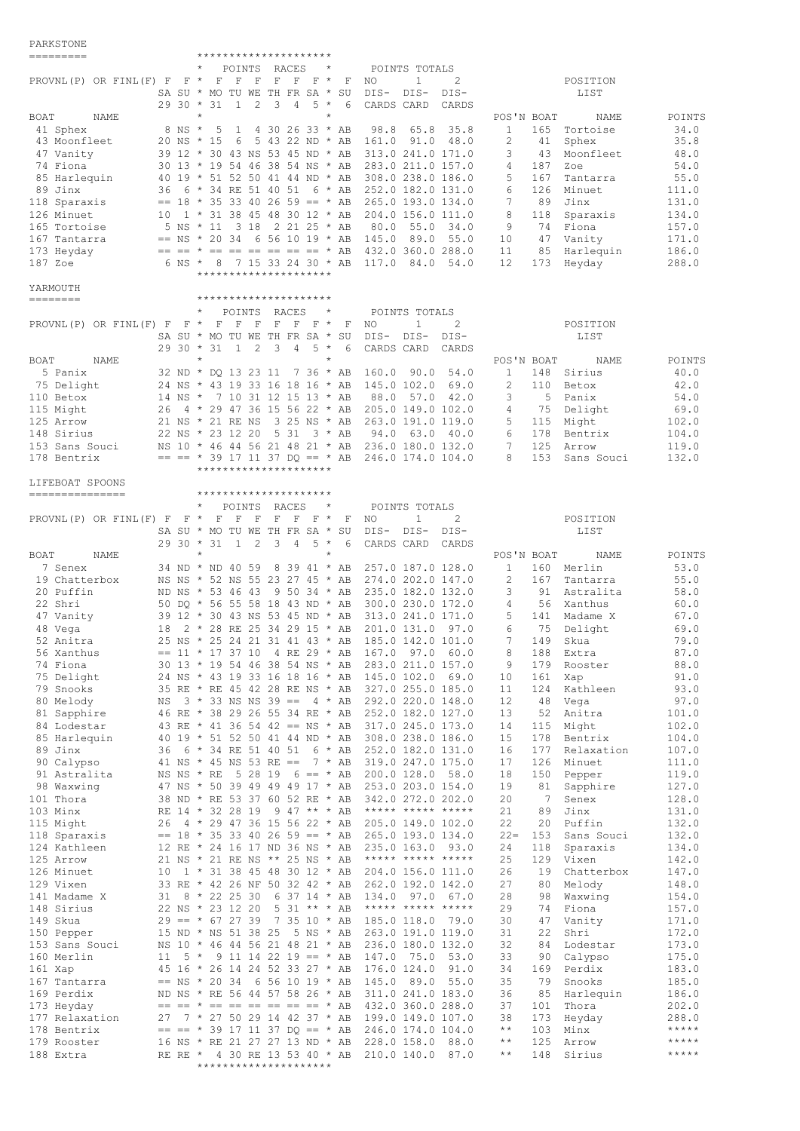## PARKSTONE

| =========                                                                         |                        | *********************                                                                                                                                        |                                                               |                                     |
|-----------------------------------------------------------------------------------|------------------------|--------------------------------------------------------------------------------------------------------------------------------------------------------------|---------------------------------------------------------------|-------------------------------------|
|                                                                                   |                        | POINTS RACES<br>$^{\star}$                                                                                                                                   | POINTS TOTALS                                                 |                                     |
| PROVNL(P) OR FINL(F) $F$ $F$ *                                                    |                        | $\begin{array}{cccccccccccccc} \textbf{F} & \textbf{F} & \textbf{F} & \textbf{F} & \textbf{F} & \textbf{F} & \textbf{F} & \textbf{F} \end{array}$<br>F<br>NO | $\mathbf{1}$<br>2                                             | POSITION                            |
|                                                                                   |                        | SA SU * MO TU WE TH FR SA * SU<br>DIS- DIS-                                                                                                                  | DIS-                                                          | LIST                                |
| BOAT<br>NAME                                                                      | $2930 * 31$<br>$\star$ | 2<br>3<br>$5 *$<br>$\mathbf{1}$<br>4<br>6<br>CARDS CARD<br>$^{\star}$                                                                                        | CARDS<br>POS'N BOAT                                           | NAME<br>POINTS                      |
| 41 Sphex                                                                          | 8 NS *                 | 5<br>4 30 26 33 * AB<br>98.8<br>1                                                                                                                            | 65.8<br>35.8<br>$\mathbf{1}$                                  | 165 Tortoise<br>34.0                |
| 43 Moonfleet                                                                      | $20$ NS $*$ 15         | 6 5 43 22 ND * AB 161.0 91.0 48.0                                                                                                                            | 2<br>41                                                       | Sphex<br>35.8                       |
| 47 Vanity                                                                         |                        | 39 12 * 30 43 NS 53 45 ND * AB 313.0 241.0 171.0                                                                                                             | 3<br>43                                                       | Moonfleet<br>48.0                   |
| 74 Fiona                                                                          |                        | 30 13 * 19 54 46 38 54 NS * AB 283.0 211.0 157.0                                                                                                             | 4<br>187                                                      | Zoe<br>54.0                         |
| 85 Harlequin                                                                      |                        | 40 19 * 51 52 50 41 44 ND * AB 308.0 238.0 186.0                                                                                                             | 5<br>167                                                      | Tantarra<br>55.0                    |
| 89 Jinx                                                                           |                        | 36 6 * 34 RE 51 40 51 6 * AB 252.0 182.0 131.0                                                                                                               | 6<br>126                                                      | Minuet<br>111.0                     |
| 118 Sparaxis                                                                      |                        | $== 18 * 35 33 40 26 59 == * AB 265.0 193.0 134.0$                                                                                                           | 7<br>89                                                       | Jinx<br>131.0                       |
| 126 Minuet                                                                        |                        | 10 1 * 31 38 45 48 30 12 * AB 204.0 156.0 111.0                                                                                                              | 8<br>118                                                      | 134.0<br>Sparaxis                   |
| 165 Tortoise                                                                      |                        | 5 NS * 11 3 18 2 21 25 * AB<br>80.0                                                                                                                          | 55.0<br>9<br>34.0<br>74                                       | 157.0<br>Fiona                      |
| 167 Tantarra                                                                      |                        | $==$ NS * 20 34 6 56 10 19 * AB 145.0                                                                                                                        | 89.0 55.0<br>10<br>47                                         | Vanity<br>171.0                     |
| 173 Heyday                                                                        |                        | $==$ $==$ $*$ $==$ $==$ $==$ $==$ $*$ AB 432.0 360.0 288.0                                                                                                   | 11<br>85                                                      | Harlequin<br>186.0                  |
| 187 Zoe                                                                           |                        | 6 NS * 8 7 15 33 24 30 * AB 117.0 84.0 54.0                                                                                                                  | 12<br>173                                                     | 288.0<br>Heyday                     |
|                                                                                   |                        | *********************                                                                                                                                        |                                                               |                                     |
| YARMOUTH                                                                          |                        |                                                                                                                                                              |                                                               |                                     |
| $\begin{tabular}{lllllllllll} \toprule & & \textbf{0.13cm}{0.13cm} \end{tabular}$ |                        | *********************                                                                                                                                        |                                                               |                                     |
|                                                                                   |                        | POINTS<br>RACES<br>$\star$                                                                                                                                   | POINTS TOTALS                                                 |                                     |
| PROVNL(P) OR FINL(F) F F $\star$                                                  |                        | F<br>$F$ $F$ $F$ $*$<br>F<br>$-F$<br>F<br>NO                                                                                                                 | 2<br>$\mathbf{1}$                                             | POSITION                            |
|                                                                                   | $2930 * 31$            | SA SU * MO TU WE TH FR SA * SU<br>DIS-<br>2<br>3<br>$5 *$<br>$\mathbf{1}$<br>$\overline{4}$<br>6<br>CARDS CARD                                               | DIS-<br>$DIS-$<br>CARDS                                       | LIST                                |
| BOAT<br>NAME                                                                      | $\star$                | $\star$                                                                                                                                                      | POS'N BOAT                                                    | NAME<br>POINTS                      |
| 5 Panix                                                                           |                        | 32 ND * DQ 13 23 11 7 36 * AB 160.0 90.0                                                                                                                     | 54.0<br>$\mathbf{1}$<br>148                                   | 40.0<br>Sirius                      |
| 75 Delight                                                                        |                        | 24 NS * 43 19 33 16 18 16 * AB 145.0 102.0                                                                                                                   | 2<br>69.0<br>110                                              | 42.0<br>Betox                       |
| 110 Betox                                                                         |                        | 14 NS * 7 10 31 12 15 13 * AB<br>88.0                                                                                                                        | 57.0 42.0<br>3<br>$-5$                                        | Panix<br>54.0                       |
| 115 Might                                                                         |                        | 26 4 * 29 47 36 15 56 22 * AB 205.0 149.0 102.0                                                                                                              | 4                                                             | 75 Delight<br>69.0                  |
| 125 Arrow                                                                         |                        | 21 NS * 21 RE NS<br>3 25 NS * AB 263.0 191.0 119.0                                                                                                           | 5<br>115                                                      | 102.0<br>Might                      |
| 148 Sirius                                                                        |                        | 5 31 3 * AB<br>22 NS * 23 12 20                                                                                                                              | 94.0 63.0 40.0<br>6                                           | 178 Bentrix<br>104.0                |
| 153 Sans Souci                                                                    |                        | NS 10 * 46 44 56 21 48 21 * AB 236.0 180.0 132.0                                                                                                             | $7^{\circ}$<br>125                                            | 119.0<br>Arrow                      |
| 178 Bentrix                                                                       |                        | $==$ $=$ $*$ 39 17 11 37 DQ $==$ $*$ AB 246.0 174.0 104.0                                                                                                    | 8<br>153                                                      | 132.0<br>Sans Souci                 |
|                                                                                   |                        | *********************                                                                                                                                        |                                                               |                                     |
| LIFEBOAT SPOONS                                                                   |                        |                                                                                                                                                              |                                                               |                                     |
| ===============                                                                   |                        | *********************                                                                                                                                        |                                                               |                                     |
|                                                                                   | $\star$                | POINTS<br>RACES<br>$\star$                                                                                                                                   | POINTS TOTALS                                                 |                                     |
| PROVNL $(P)$ OR FINL $(F)$ F F $*$                                                |                        | $\mathbf F$<br>$\mathbf F$<br>$\mathbf F$<br>F F<br>$F \star$<br>F<br>NO.                                                                                    | 2<br>$\mathbf{1}$                                             | POSITION                            |
|                                                                                   |                        | SA SU * MO TU WE TH FR SA * SU<br>DIS-                                                                                                                       | DIS-<br>$DIS-$                                                | LIST                                |
|                                                                                   | $2930 * 31$            | 3<br>1<br>2<br>$\overline{4}$<br>$5 *$<br>- 6<br>CARDS CARD                                                                                                  | CARDS                                                         |                                     |
| BOAT<br>NAME                                                                      | $\star$                |                                                                                                                                                              | POS'N BOAT                                                    | POINTS<br>NAME                      |
| 7 Senex                                                                           |                        | 34 ND * ND 40 59<br>8 39 41 * AB 257.0 187.0 128.0                                                                                                           | $\mathbf{1}$                                                  | 160 Merlin<br>53.0                  |
| 19 Chatterbox                                                                     |                        | NS NS * 52 NS 55 23 27 45 * AB 274.0 202.0 147.0                                                                                                             | 2                                                             | 55.0<br>167 Tantarra                |
| 20 Puffin                                                                         |                        | ND NS * 53 46 43<br>9 50 34 * AB 235.0 182.0 132.0                                                                                                           | 3                                                             | 91 Astralita<br>58.0                |
| 22 Shri                                                                           |                        | 50 DO * 56 55 58 18 43 ND * AB 300.0 230.0 172.0                                                                                                             | 4                                                             | 56 Xanthus<br>60.0                  |
| 47 Vanity                                                                         |                        | 39 12 * 30 43 NS 53 45 ND * AB 313.0 241.0 171.0                                                                                                             | 5                                                             | 141 Madame X<br>67.0                |
|                                                                                   |                        |                                                                                                                                                              |                                                               |                                     |
| 18<br>48 Vega                                                                     |                        | 2 * 28 RE 25 34 29 15 * AB 201.0 131.0 97.0                                                                                                                  | 6<br>75                                                       | Delight<br>69.0                     |
| 52 Anitra                                                                         |                        | 25 NS * 25 24 21 31 41 43 * AB 185.0 142.0 101.0                                                                                                             | 7<br>149                                                      | Skua<br>79.0                        |
| 56 Xanthus                                                                        |                        | $== 11 * 17 37 10 4 RE 29 * AB 167.0 97.0 60.0$                                                                                                              | 188<br>8 <sup>2</sup>                                         | 87.0<br>Extra                       |
| 74 Fiona                                                                          |                        | 30 13 * 19 54 46 38 54 NS * AB                                                                                                                               | 283.0 211.0 157.0<br>9<br>179                                 | 88.0<br>Rooster                     |
| 75 Delight                                                                        |                        | 24 NS * 43 19 33 16 18 16 * AB 145.0 102.0 69.0                                                                                                              | 10<br>161                                                     | 91.0<br>Xap                         |
| 79 Snooks                                                                         |                        | 35 RE * RE 45 42 28 RE NS * AB 327.0 255.0 185.0                                                                                                             | 124<br>11                                                     | Kathleen<br>93.0                    |
| 80 Melody<br>ΝS                                                                   |                        | $3 * 33$ NS NS 39 == $4 * AB$ 292.0 220.0 148.0                                                                                                              | 12<br>48                                                      | 97.0<br>Vega                        |
| 81 Sapphire                                                                       |                        | 46 RE * 38 29 26 55 34 RE * AB 252.0 182.0 127.0                                                                                                             | 13<br>52                                                      | Anitra<br>101.0                     |
| 84 Lodestar                                                                       |                        | 43 RE * 41 36 54 42 == NS * AB 317.0 245.0 173.0                                                                                                             | 14<br>115                                                     | Might<br>102.0                      |
| 85 Harlequin                                                                      |                        | 40 19 * 51 52 50 41 44 ND * AB 308.0 238.0 186.0                                                                                                             | 15<br>178                                                     | Bentrix<br>104.0                    |
| 89 Jinx<br>36                                                                     |                        | 6 * 34 RE 51 40 51<br>6 * AB                                                                                                                                 | 252.0 182.0 131.0<br>177<br>16                                | Relaxation<br>107.0                 |
| 90 Calypso                                                                        |                        | 41 NS * 45 NS 53 RE == 7 * AB 319.0 247.0 175.0                                                                                                              | 17<br>126                                                     | 111.0<br>Minuet                     |
| 91 Astralita                                                                      |                        | NS NS * RE 5 28 19 6 == * AB 200.0 128.0 58.0                                                                                                                | 18<br>150                                                     | 119.0<br>Pepper                     |
| 98 Waxwing                                                                        |                        | 47 NS * 50 39 49 49 49 17 * AB 253.0 203.0 154.0                                                                                                             | 19<br>81<br>- 7                                               | 127.0<br>Sapphire                   |
| 101 Thora                                                                         |                        | 38 ND * RE 53 37 60 52 RE * AB                                                                                                                               | 342.0 272.0 202.0<br>20                                       | 128.0<br>Senex                      |
| 103 Minx                                                                          |                        | RE 14 * 32 28 19 9 47 ** * AB ***** ***** *****                                                                                                              | 21<br>89                                                      | Jinx<br>131.0                       |
| 115 Might                                                                         |                        | 26 4 * 29 47 36 15 56 22 * AB 205.0 149.0 102.0                                                                                                              | 22<br>20                                                      | Puffin<br>132.0                     |
| 118 Sparaxis                                                                      |                        | $== 18 * 35 33 40 26 59 == * AB 265.0 193.0 134.0$                                                                                                           | $22 =$<br>153                                                 | 132.0<br>Sans Souci                 |
| 124 Kathleen<br>125 Arrow                                                         |                        | 12 RE * 24 16 17 ND 36 NS * AB                                                                                                                               | 235.0 163.0 93.0<br>24<br>118<br>25<br>129                    | 134.0<br>Sparaxis<br>142.0<br>Vixen |
| 126 Minuet                                                                        |                        | 21 NS * 21 RE NS ** 25 NS * AB ***** ***** *****<br>10 1 * 31 38 45 48 30 12 * AB                                                                            | 204.0 156.0 111.0<br>26<br>19                                 | 147.0<br>Chatterbox                 |
| 129 Vixen                                                                         |                        | 33 RE * 42 26 NF 50 32 42 * AB 262.0 192.0 142.0                                                                                                             | 27<br>80                                                      | 148.0<br>Melody                     |
| 141 Madame X<br>31                                                                |                        | $8 * 22 25 30$<br>6 37 14 * AB                                                                                                                               | 134.0 97.0 67.0<br>28<br>98                                   | Waxwing<br>154.0                    |
| 148 Sirius                                                                        |                        | 5 31 ** * AB ***** ***** *****<br>22 NS * 23 12 20                                                                                                           | 29<br>74                                                      | Fiona<br>157.0                      |
| 149 Skua                                                                          |                        | $29 == * 67 27 39 7 35 10 * AB$                                                                                                                              | 30<br>185.0 118.0 79.0<br>47                                  | Vanity<br>171.0                     |
| 150 Pepper                                                                        |                        | 15 ND * NS 51 38 25 5 NS * AB                                                                                                                                | 263.0 191.0 119.0<br>22<br>31                                 | Shri<br>172.0                       |
| 153 Sans Souci                                                                    |                        | NS 10 * 46 44 56 21 48 21 * AB                                                                                                                               | 236.0 180.0 132.0<br>32<br>84                                 | 173.0<br>Lodestar                   |
| 160 Merlin<br>11                                                                  |                        | $5 * 9 11 14 22 19 == * AB$                                                                                                                                  | 147.0 75.0<br>33<br>53.0<br>90                                | 175.0<br>Calypso                    |
| 161 Xap                                                                           |                        | 45 16 * 26 14 24 52 33 27 * AB                                                                                                                               | 176.0 124.0 91.0<br>34<br>169                                 | 183.0<br>Perdix                     |
| 167 Tantarra                                                                      |                        | $==$ NS * 20 34 6 56 10 19 * AB                                                                                                                              | 145.0 89.0 55.0<br>35<br>79                                   | 185.0<br>Snooks                     |
| 169 Perdix                                                                        |                        | ND NS * RE 56 44 57 58 26 * AB                                                                                                                               | 311.0 241.0 183.0<br>36<br>85                                 | Harlequin<br>186.0                  |
| 173 Heyday                                                                        |                        | $== == * == == == == == == * AB$                                                                                                                             | 432.0 360.0 288.0<br>37<br>101                                | 202.0<br>Thora                      |
| 177 Relaxation<br>27                                                              |                        | 7 * 27 50 29 14 42 37 * AB                                                                                                                                   | 199.0 149.0 107.0<br>38<br>173                                | 288.0<br>Heyday                     |
| 178 Bentrix                                                                       |                        | $== == * 39 17 11 37 DQ == * AB$                                                                                                                             | 246.0 174.0 104.0<br>$\star\star$<br>103                      | *****<br>Minx                       |
| 179 Rooster<br>188 Extra                                                          |                        | 16 NS * RE 21 27 27 13 ND * AB                                                                                                                               | $\star$ $\star$<br>228.0 158.0 88.0<br>125<br>$\star$ $\star$ | $***$ * * * *<br>Arrow<br>$******$  |

\*\*\*\*\*\*\*\*\*\*\*\*\*\*\*\*\*\*